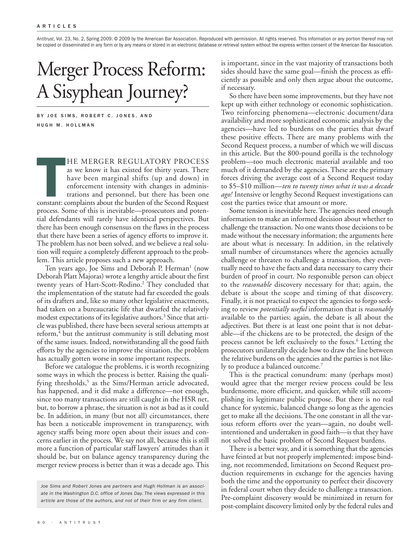*Antitrust*, Vol. 23, No. 2, Spring 2009. © 2009 by the American Bar Association. Reproduced with permission. All rights reserved. This information or any portion thereof may not be copied or disseminated in any form or by any means or stored in an electronic database or retrieval system without the express written consent of the American Bar Association.

# Merger Process Reform: A Sisyphean Journey?

BY JOE SIMS, ROBERT C. JONES, AND HUGH M. HOLLMAN

**THE MERGER REGULATORY PROCESS**<br>as we know it has existed for thirty years. There<br>have been marginal shifts (up and down) in<br>enforcement intensity with changes in adminis-<br>trations and personnel, but there has been one<br>con HE MERGER REGULATORY PROCESS as we know it has existed for thirty years. There have been marginal shifts (up and down) in enforcement intensity with changes in administrations and personnel, but there has been one process. Some of this is inevitable—prosecutors and potential defendants will rarely have identical perspectives. But there has been enough consensus on the flaws in the process that there have been a series of agency efforts to improve it. The problem has not been solved, and we believe a real solution will require a completely different approach to the problem. This article proposes such a new approach.

Ten years ago, Joe Sims and Deborah P. Herman<sup>1</sup> (now Deborah Platt Majoras) wrote a lengthy article about the first twenty years of Hart-Scott-Rodino. <sup>2</sup> They concluded that the implementation of the statute had far exceeded the goals of its drafters and, like so many other legislative enactments, had taken on a bureaucratic life that dwarfed the relatively modest expectations of its legislative authors. <sup>3</sup> Since that article was published, there have been several serious attempts at reform, <sup>4</sup> but the antitrust community is still debating most of the same issues. Indeed, notwithstanding all the good faith efforts by the agencies to improve the situation, the problem has actually gotten worse in some important respects.

Before we catalogue the problems, it is worth recognizing some ways in which the process is better. Raising the qualifying thresholds, <sup>5</sup> as the Sims/Herman article advocated, has happened, and it did make a difference—not enough, since too many transactions are still caught in the HSR net, but, to borrow a phrase, the situation is not as bad as it could be. In addition, in many (but not all) circumstances, there has been a noticeable improvement in transparency, with agency staffs being more open about their issues and concerns earlier in the process. We say not all, because this is still more a function of particular staff lawyers' attitudes than it should be, but on balance agency transparency during the merger review process is better than it was a decade ago. This

is important, since in the vast majority of transactions both sides should have the same goal—finish the process as efficiently as possible and only then argue about the outcome, if necessary.

So there have been some improvements, but they have not kept up with either technology or economic sophistication. Two reinforcing phenomena—electronic document/data availability and more sophisticated economic analysis by the agencies—have led to burdens on the parties that dwarf these positive effects. There are many problems with the Second Request process, a number of which we will discuss in this article. But the 800-pound gorilla is the technology problem—too much electronic material available and too much of it demanded by the agencies. These are the primary forces driving the average cost of a Second Request today to \$5–\$10 million—*ten to twenty times what it was a decade ago!* Intensive or lengthy Second Request investigations can cost the parties twice that amount or more.

Some tension is inevitable here. The agencies need enough information to make an informed decision about whether to challenge the transaction. No one wants those decisions to be made without the necessary information; the arguments here are about what is necessary. In addition, in the relatively small number of circumstances where the agencies actually challenge or threaten to challenge a transaction, they eventually need to have the facts and data necessary to carry their burden of proof in court. No responsible person can object to the *reasonable* discovery necessary for that; again, the debate is about the scope and timing of that discovery. Finally, it is not practical to expect the agencies to forgo seeking to review *potentially useful* information that is *reasonably* available to the parties; again, the debate is all about the adjectives. But there is at least one point that is not debatable—if the chickens are to be protected, the design of the process cannot be left exclusively to the foxes. <sup>6</sup> Letting the prosecutors unilaterally decide how to draw the line between the relative burdens on the agencies and the parties is not likely to produce a balanced outcome. 7

This is the practical conundrum: many (perhaps most) would agree that the merger review process could be less burdensome, more efficient, and quicker, while still accomplishing its legitimate public purpose. But there is no real chance for systemic, balanced change so long as the agencies get to make all the decisions. The one constant in all the various reform efforts over the years—again, no doubt wellintentioned and undertaken in good faith—is that they have not solved the basic problem of Second Request burdens.

There is a better way, and it is something that the agencies have feinted at but not properly implemented: impose binding, not recommended, limitations on Second Request production requirements in exchange for the agencies having both the time and the opportunity to perfect their discovery in federal court when they decide to challenge a transaction. Pre-complaint discovery would be minimized in return for post-complaint discovery limited only by the federal rules and

*Joe Sims and Robert Jones are partners and Hugh Hollman is an associate in the Washington D.C. office of Jones Day. The views expressed in this article are those of the authors, and not of their firm or any firm client.*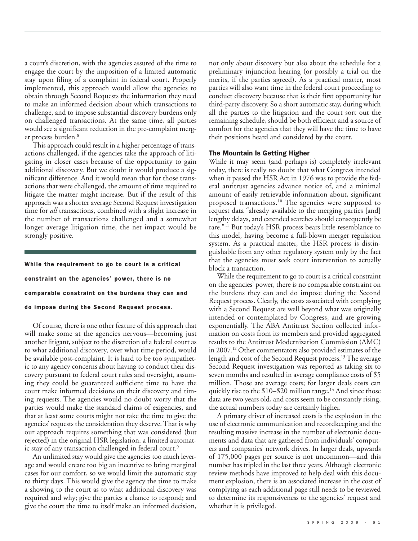a court's discretion, with the agencies assured of the time to engage the court by the imposition of a limited automatic stay upon filing of a complaint in federal court. Properly implemented, this approach would allow the agencies to obtain through Second Requests the information they need to make an informed decision about which transactions to challenge, and to impose substantial discovery burdens only on challenged transactions. At the same time, all parties would see a significant reduction in the pre-complaint merger process burden. 8

This approach could result in a higher percentage of transactions challenged, if the agencies take the approach of litigating in closer cases because of the opportunity to gain additional discovery. But we doubt it would produce a significant difference. And it would mean that for those transactions that were challenged, the amount of time required to litigate the matter might increase. But if the result of this approach was a shorter average Second Request investigation time for *all* transactions, combined with a slight increase in the number of transactions challenged and a somewhat longer average litigation time, the net impact would be strongly positive.

# **While the requirement to go to court is a critical constraint on the agencies' power, there is no comparable constraint on the burdens they can and do impose during the Second Request process.**

Of course, there is one other feature of this approach that will make some at the agencies nervous—becoming just another litigant, subject to the discretion of a federal court as to what additional discovery, over what time period, would be available post-complaint. It is hard to be too sympathetic to any agency concerns about having to conduct their discovery pursuant to federal court rules and oversight, assuming they could be guaranteed sufficient time to have the court make informed decisions on their discovery and timing requests. The agencies would no doubt worry that the parties would make the standard claims of exigencies, and that at least some courts might not take the time to give the agencies' requests the consideration they deserve.That is why our approach requires something that was considered (but rejected) in the original HSR legislation: a limited automatic stay of any transaction challenged in federal court. 9

An unlimited stay would give the agencies too much leverage and would create too big an incentive to bring marginal cases for our comfort, so we would limit the automatic stay to thirty days. This would give the agency the time to make a showing to the court as to what additional discovery was required and why; give the parties a chance to respond; and give the court the time to itself make an informed decision,

not only about discovery but also about the schedule for a preliminary injunction hearing (or possibly a trial on the merits, if the parties agreed). As a practical matter, most parties will also want time in the federal court proceeding to conduct discovery because that is their first opportunity for third-party discovery. So a short automatic stay, during which all the parties to the litigation and the court sort out the remaining schedule, should be both efficient and a source of comfort for the agencies that they will have the time to have their positions heard and considered by the court.

### **The Mountain Is Getting Higher**

While it may seem (and perhaps is) completely irrelevant today, there is really no doubt that what Congress intended when it passed the HSR Act in 1976 was to provide the federal antitrust agencies advance notice of, and a minimal amount of easily retrievable information about, significant proposed transactions. <sup>10</sup> The agencies were supposed to request data "already available to the merging parties [and] lengthy delays, and extended searches should consequently be rare."<sup>11</sup> But today's HSR process bears little resemblance to this model, having become a full-blown merger regulation system. As a practical matter, the HSR process is distinguishable from any other regulatory system only by the fact that the agencies must seek court intervention to actually block a transaction.

While the requirement to go to court is a critical constraint on the agencies' power, there is no comparable constraint on the burdens they can and do impose during the Second Request process. Clearly, the costs associated with complying with a Second Request are well beyond what was originally intended or contemplated by Congress, and are growing exponentially. The ABA Antitrust Section collected information on costs from its members and provided aggregated results to the Antitrust Modernization Commission (AMC) in 2007.12 Other commentators also provided estimates of the length and cost of the Second Request process. 13The average Second Request investigation was reported as taking six to seven months and resulted in average compliance costs of \$5 million. Those are average costs; for larger deals costs can quickly rise to the \$10–\$20 million range. <sup>14</sup> And since those data are two years old, and costs seem to be constantly rising, the actual numbers today are certainly higher.

A primary driver of increased costs is the explosion in the use of electronic communication and recordkeeping and the resulting massive increase in the number of electronic documents and data that are gathered from individuals' computers and companies' network drives. In larger deals, upwards of 175,000 pages per source is not uncommon—and this number has tripled in the last three years. Although electronic review methods have improved to help deal with this document explosion, there is an associated increase in the cost of complying as each additional page still needs to be reviewed to determine its responsiveness to the agencies' request and whether it is privileged.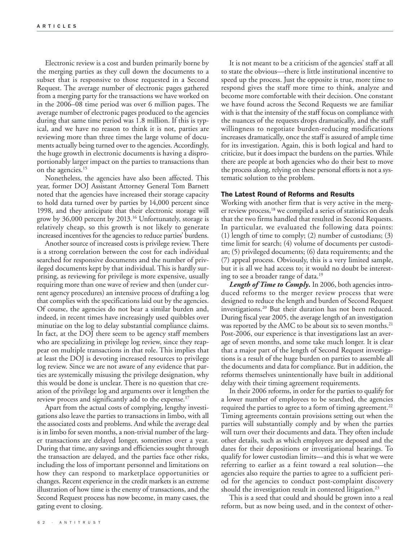Electronic review is a cost and burden primarily borne by the merging parties as they cull down the documents to a subset that is responsive to those requested in a Second Request. The average number of electronic pages gathered from a merging party for the transactions we have worked on in the 2006–08 time period was over 6 million pages. The average number of electronic pages produced to the agencies during that same time period was 1.8 million. If this is typical, and we have no reason to think it is not, parties are reviewing more than three times the large volume of documents actually being turned over to the agencies. Accordingly, the huge growth in electronic documents is having a disproportionably larger impact on the parties to transactions than on the agencies. 15

Nonetheless, the agencies have also been affected. This year, former DOJ Assistant Attorney General Tom Barnett noted that the agencies have increased their storage capacity to hold data turned over by parties by 14,000 percent since 1998, and they anticipate that their electronic storage will grow by 36,000 percent by 2013. <sup>16</sup> Unfortunately, storage is relatively cheap, so this growth is not likely to generate increased incentives for the agencies to reduce parties' burdens.

Another source of increased costs is privilege review.There is a strong correlation between the cost for each individual searched for responsive documents and the number of privileged documents kept by that individual. This is hardly surprising, as reviewing for privilege is more expensive, usually requiring more than one wave of review and then (under current agency procedures) an intensive process of drafting a log that complies with the specifications laid out by the agencies. Of course, the agencies do not bear a similar burden and, indeed, in recent times have increasingly used quibbles over minutiae on the log to delay substantial compliance claims. In fact, at the DOJ there seem to be agency staff members who are specializing in privilege log review, since they reappear on multiple transactions in that role. This implies that at least the DOJ is devoting increased resources to privilege log review. Since we are not aware of any evidence that parties are systemically misusing the privilege designation, why this would be done is unclear. There is no question that creation of the privilege log and arguments over it lengthen the review process and significantly add to the expense. 17

Apart from the actual costs of complying, lengthy investigations also leave the parties to transactions in limbo, with all the associated costs and problems. And while the average deal is in limbo for seven months, a non-trivial number of the larger transactions are delayed longer, sometimes over a year. During that time, any savings and efficiencies sought through the transaction are delayed, and the parties face other risks, including the loss of important personnel and limitations on how they can respond to marketplace opportunities or changes. Recent experience in the credit markets is an extreme illustration of how time is the enemy of transactions, and the Second Request process has now become, in many cases, the gating event to closing.

It is not meant to be a criticism of the agencies' staff at all to state the obvious—there is little institutional incentive to speed up the process. Just the opposite is true, more time to respond gives the staff more time to think, analyze and become more comfortable with their decision. One constant we have found across the Second Requests we are familiar with is that the intensity of the staff focus on compliance with the nuances of the requests drops dramatically, and the staff willingness to negotiate burden-reducing modifications increases dramatically, once the staff is assured of ample time for its investigation. Again, this is both logical and hard to criticize, but it does impact the burdens on the parties. While there are people at both agencies who do their best to move the process along, relying on these personal efforts is not a systematic solution to the problem.

#### **The Latest Round of Reforms and Results**

Working with another firm that is very active in the merger review process, <sup>18</sup> we compiled a series of statistics on deals that the two firms handled that resulted in Second Requests. In particular, we evaluated the following data points: (1) length of time to comply; (2) number of custodians; (3) time limit for search; (4) volume of documents per custodian; (5) privileged documents; (6) data requirements; and the (7) appeal process. Obviously, this is a very limited sample, but it is all we had access to; it would no doubt be interesting to see a broader range of data. 19

*Length of Time to Comply.* In 2006, both agencies introduced reforms to the merger review process that were designed to reduce the length and burden of Second Request investigations. <sup>20</sup> But their duration has not been reduced. During fiscal year 2005, the average length of an investigation was reported by the AMC to be about six to seven months. 21 Post-2006, our experience is that investigations last an average of seven months, and some take much longer. It is clear that a major part of the length of Second Request investigations is a result of the huge burden on parties to assemble all the documents and data for compliance. But in addition, the reforms themselves unintentionally have built in additional delay with their timing agreement requirements.

In their 2006 reforms, in order for the parties to qualify for a lower number of employees to be searched, the agencies required the parties to agree to a form of timing agreement. 22 Timing agreements contain provisions setting out when the parties will substantially comply and by when the parties will turn over their documents and data. They often include other details, such as which employees are deposed and the dates for their depositions or investigational hearings. To qualify for lower custodian limits—and this is what we were referring to earlier as a feint toward a real solution—the agencies also require the parties to agree to a sufficient period for the agencies to conduct post-complaint discovery should the investigation result in contested litigation.<sup>23</sup>

This is a seed that could and should be grown into a real reform, but as now being used, and in the context of other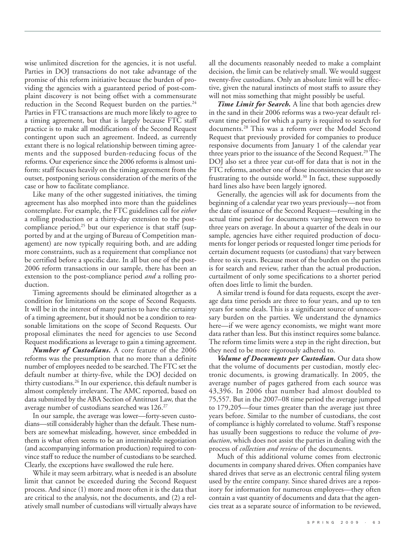wise unlimited discretion for the agencies, it is not useful. Parties in DOJ transactions do not take advantage of the promise of this reform initiative because the burden of providing the agencies with a guaranteed period of post-complaint discovery is not being offset with a commensurate reduction in the Second Request burden on the parties.<sup>24</sup> Parties in FTC transactions are much more likely to agree to a timing agreement, but that is largely because FTC staff practice is to make all modifications of the Second Request contingent upon such an agreement. Indeed, as currently extant there is no logical relationship between timing agreements and the supposed burden-reducing focus of the reforms. Our experience since the 2006 reforms is almost uniform: staff focuses heavily on the timing agreement from the outset, postponing serious consideration of the merits of the case or how to facilitate compliance.

Like many of the other suggested initiatives, the timing agreement has also morphed into more than the guidelines contemplate. For example, the FTC guidelines call for *either* a rolling production or a thirty-day extension to the postcompliance period, <sup>25</sup> but our experience is that staff (supported by and at the urging of Bureau of Competition management) are now typically requiring both, and are adding more constraints, such as a requirement that compliance not be certified before a specific date. In all but one of the post-2006 reform transactions in our sample, there has been an extension to the post-compliance period *and* a rolling production.

Timing agreements should be eliminated altogether as a condition for limitations on the scope of Second Requests. It will be in the interest of many parties to have the certainty of a timing agreement, but it should not be a condition to reasonable limitations on the scope of Second Requests. Our proposal eliminates the need for agencies to use Second Request modifications as leverage to gain a timing agreement.

*Number of Custodians.* A core feature of the 2006 reforms was the presumption that no more than a definite number of employees needed to be searched.The FTC set the default number at thirty-five, while the DOJ decided on thirty custodians. <sup>26</sup> In our experience, this default number is almost completely irrelevant. The AMC reported, based on data submitted by the ABA Section of Antitrust Law, that the average number of custodians searched was 126. 27

In our sample, the average was lower—forty-seven custodians—still considerably higher than the default.These numbers are somewhat misleading, however, since embedded in them is what often seems to be an interminable negotiation (and accompanying information production) required to convince staff to reduce the number of custodians to be searched. Clearly, the exceptions have swallowed the rule here.

While it may seem arbitrary, what is needed is an absolute limit that cannot be exceeded during the Second Request process. And since (1) more and more often it is the data that are critical to the analysis, not the documents, and (2) a relatively small number of custodians will virtually always have all the documents reasonably needed to make a complaint decision, the limit can be relatively small. We would suggest twenty-five custodians. Only an absolute limit will be effective, given the natural instincts of most staffs to assure they will not miss something that might possibly be useful.

*Time Limit for Search.* A line that both agencies drew in the sand in their 2006 reforms was a two-year default relevant time period for which a party is required to search for documents. <sup>28</sup> This was a reform over the Model Second Request that previously provided for companies to produce responsive documents from January 1 of the calendar year three years prior to the issuance of the Second Request.<sup>29</sup> The DOJ also set a three year cut-off for data that is not in the FTC reforms, another one of those inconsistencies that are so frustrating to the outside world. <sup>30</sup> In fact, these supposedly hard lines also have been largely ignored.

Generally, the agencies will ask for documents from the beginning of a calendar year two years previously—not from the date of issuance of the Second Request—resulting in the actual time period for documents varying between two to three years on average. In about a quarter of the deals in our sample, agencies have either required production of documents for longer periods or requested longer time periods for certain document requests (or custodians) that vary between three to six years. Because most of the burden on the parties is for search and review, rather than the actual production, curtailment of only some specifications to a shorter period often does little to limit the burden.

A similar trend is found for data requests, except the average data time periods are three to four years, and up to ten years for some deals. This is a significant source of unnecessary burden on the parties. We understand the dynamics here—if we were agency economists, we might want more data rather than less. But this instinct requires some balance. The reform time limits were a step in the right direction, but they need to be more rigorously adhered to.

*Volume of Documents per Custodian.* Our data show that the volume of documents per custodian, mostly electronic documents, is growing dramatically. In 2005, the average number of pages gathered from each source was 43,396. In 2006 that number had almost doubled to 75,557. But in the 2007–08 time period the average jumped to 179,205—four times greater than the average just three years before. Similar to the number of custodians, the cost of compliance is highly correlated to volume. Staff's response has usually been suggestions to reduce the volume of *production*, which does not assist the parties in dealing with the process of *collection and review* of the documents.

Much of this additional volume comes from electronic documents in company shared drives. Often companies have shared drives that serve as an electronic central filing system used by the entire company. Since shared drives are a repository for information for numerous employees—they often contain a vast quantity of documents and data that the agencies treat as a separate source of information to be reviewed,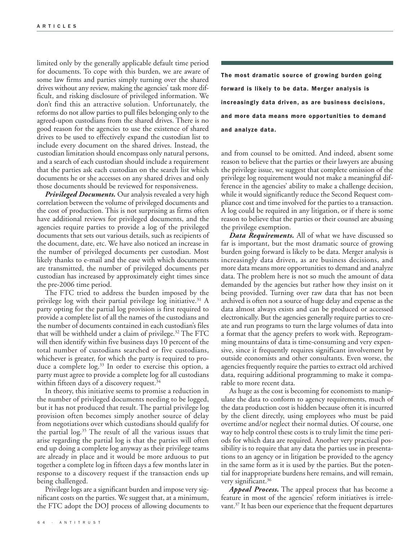limited only by the generally applicable default time period for documents. To cope with this burden, we are aware of some law firms and parties simply turning over the shared drives without any review, making the agencies' task more difficult, and risking disclosure of privileged information. We don't find this an attractive solution. Unfortunately, the reforms do not allow parties to pull files belonging only to the agreed-upon custodians from the shared drives. There is no good reason for the agencies to use the existence of shared drives to be used to effectively expand the custodian list to include every document on the shared drives. Instead, the custodian limitation should encompass only natural persons, and a search of each custodian should include a requirement that the parties ask each custodian on the search list which documents he or she accesses on any shared drives and only those documents should be reviewed for responsiveness.

*Privileged Documents.* Our analysis revealed a very high correlation between the volume of privileged documents and the cost of production. This is not surprising as firms often have additional reviews for privileged documents, and the agencies require parties to provide a log of the privileged documents that sets out various details, such as recipients of the document, date, etc. We have also noticed an increase in the number of privileged documents per custodian. Most likely thanks to e-mail and the ease with which documents are transmitted, the number of privileged documents per custodian has increased by approximately eight times since the pre-2006 time period.

The FTC tried to address the burden imposed by the privilege log with their partial privilege log initiative. <sup>31</sup> A party opting for the partial log provision is first required to provide a complete list of all the names of the custodians and the number of documents contained in each custodian's files that will be withheld under a claim of privilege. <sup>32</sup> The FTC will then identify within five business days 10 percent of the total number of custodians searched or five custodians, whichever is greater, for which the party is required to produce a complete log. <sup>33</sup> In order to exercise this option, a party must agree to provide a complete log for all custodians within fifteen days of a discovery request. 34

In theory, this initiative seems to promise a reduction in the number of privileged documents needing to be logged, but it has not produced that result. The partial privilege log provision often becomes simply another source of delay from negotiations over which custodians should qualify for the partial log. <sup>35</sup> The result of all the various issues that arise regarding the partial log is that the parties will often end up doing a complete log anyway as their privilege teams are already in place and it would be more arduous to put together a complete log in fifteen days a few months later in response to a discovery request if the transaction ends up being challenged.

Privilege logs are a significant burden and impose very significant costs on the parties. We suggest that, at a minimum, the FTC adopt the DOJ process of allowing documents to

**The most dramatic source of growing burden going forward is likely to be data. Merger analysis is increasingly data driven, as are business decisions, and more data means more opportunities to demand and analyze data.**

and from counsel to be omitted. And indeed, absent some reason to believe that the parties or their lawyers are abusing the privilege issue, we suggest that complete omission of the privilege log requirement would not make a meaningful difference in the agencies' ability to make a challenge decision, while it would significantly reduce the Second Request compliance cost and time involved for the parties to a transaction. A log could be required in any litigation, or if there is some reason to believe that the parties or their counsel are abusing the privilege exemption.

*Data Requirements.* All of what we have discussed so far is important, but the most dramatic source of growing burden going forward is likely to be data. Merger analysis is increasingly data driven, as are business decisions, and more data means more opportunities to demand and analyze data. The problem here is not so much the amount of data demanded by the agencies but rather how they insist on it being provided. Turning over raw data that has not been archived is often not a source of huge delay and expense as the data almost always exists and can be produced or accessed electronically. But the agencies generally require parties to create and run programs to turn the large volumes of data into a format that the agency prefers to work with. Reprogramming mountains of data is time-consuming and very expensive, since it frequently requires significant involvement by outside economists and other consultants. Even worse, the agencies frequently require the parties to extract old archived data, requiring additional programming to make it comparable to more recent data.

As huge as the cost is becoming for economists to manipulate the data to conform to agency requirements, much of the data production cost is hidden because often it is incurred by the client directly, using employees who must be paid overtime and/or neglect their normal duties. Of course, one way to help control these costs is to truly limit the time periods for which data are required. Another very practical possibility is to require that any data the parties use in presentations to an agency or in litigation be provided to the agency in the same form as it is used by the parties. But the potential for inappropriate burdens here remains, and will remain, very significant. 36

*Appeal Process.* The appeal process that has become a feature in most of the agencies' reform initiatives is irrelevant. <sup>37</sup> It has been our experience that the frequent departures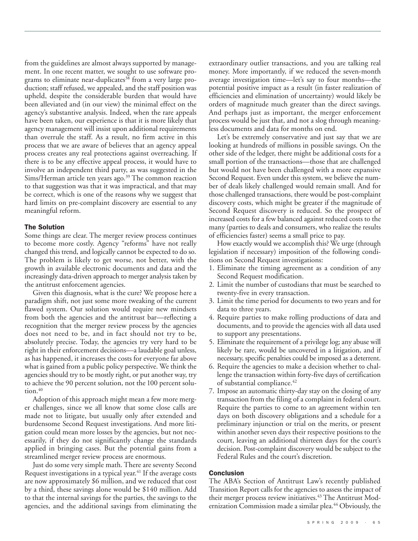from the guidelines are almost always supported by management. In one recent matter, we sought to use software programs to eliminate near-duplicates <sup>38</sup> from a very large production; staff refused, we appealed, and the staff position was upheld, despite the considerable burden that would have been alleviated and (in our view) the minimal effect on the agency's substantive analysis. Indeed, when the rare appeals have been taken, our experience is that it is more likely that agency management will insist upon additional requirements than overrule the staff. As a result, no firm active in this process that we are aware of believes that an agency appeal process creates any real protections against overreaching. If there is to be any effective appeal process, it would have to involve an independent third party, as was suggested in the Sims/Herman article ten years ago. <sup>39</sup> The common reaction to that suggestion was that it was impractical, and that may be correct, which is one of the reasons why we suggest that hard limits on pre-complaint discovery are essential to any meaningful reform.

## **The Solution**

Some things are clear. The merger review process continues to become more costly. Agency "reforms" have not really changed this trend, and logically cannot be expected to do so. The problem is likely to get worse, not better, with the growth in available electronic documents and data and the increasingly data-driven approach to merger analysis taken by the antitrust enforcement agencies.

Given this diagnosis, what is the cure? We propose here a paradigm shift, not just some more tweaking of the current flawed system. Our solution would require new mindsets from both the agencies and the antitrust bar—reflecting a recognition that the merger review process by the agencies does not need to be, and in fact should not try to be, absolutely precise. Today, the agencies try very hard to be right in their enforcement decisions—a laudable goal unless, as has happened, it increases the costs for everyone far above what is gained from a public policy perspective. We think the agencies should try to be mostly right, or put another way, try to achieve the 90 percent solution, not the 100 percent solution. 40

Adoption of this approach might mean a few more merger challenges, since we all know that some close calls are made not to litigate, but usually only after extended and burdensome Second Request investigations. And more litigation could mean more losses by the agencies, but not necessarily, if they do not significantly change the standards applied in bringing cases. But the potential gains from a streamlined merger review process are enormous.

Just do some very simple math. There are seventy Second Request investigations in a typical year. <sup>41</sup> If the average costs are now approximately \$6 million, and we reduced that cost by a third, these savings alone would be \$140 million. Add to that the internal savings for the parties, the savings to the agencies, and the additional savings from eliminating the extraordinary outlier transactions, and you are talking real money. More importantly, if we reduced the seven-month average investigation time—let's say to four months—the potential positive impact as a result (in faster realization of efficiencies and elimination of uncertainty) would likely be orders of magnitude much greater than the direct savings. And perhaps just as important, the merger enforcement process would be just that, and not a slog through meaningless documents and data for months on end.

Let's be extremely conservative and just say that we are looking at hundreds of millions in possible savings. On the other side of the ledger, there might be additional costs for a small portion of the transactions—those that are challenged but would not have been challenged with a more expansive Second Request. Even under this system, we believe the number of deals likely challenged would remain small. And for those challenged transactions, there would be post-complaint discovery costs, which might be greater if the magnitude of Second Request discovery is reduced. So the prospect of increased costs for a few balanced against reduced costs to the many (parties to deals and consumers, who realize the results of efficiencies faster) seems a small price to pay.

How exactly would we accomplish this? We urge (through legislation if necessary) imposition of the following conditions on Second Request investigations:

- 1. Eliminate the timing agreement as a condition of any Second Request modification.
- 2. Limit the number of custodians that must be searched to twenty-five in every transaction.
- 3. Limit the time period for documents to two years and for data to three years.
- 4. Require parties to make rolling productions of data and documents, and to provide the agencies with all data used to support any presentations.
- 5. Eliminate the requirement of a privilege log; any abuse will likely be rare, would be uncovered in a litigation, and if necessary, specific penalties could be imposed as a deterrent.
- 6. Require the agencies to make a decision whether to challenge the transaction within forty-five days of certification of substantial compliance. 42
- 7. Impose an automatic thirty-day stay on the closing of any transaction from the filing of a complaint in federal court. Require the parties to come to an agreement within ten days on both discovery obligations and a schedule for a preliminary injunction or trial on the merits, or present within another seven days their respective positions to the court, leaving an additional thirteen days for the court's decision. Post-complaint discovery would be subject to the Federal Rules and the court's discretion.

# **Conclusion**

The ABA's Section of Antitrust Law's recently published Transition Report calls for the agencies to assess the impact of their merger process review initiatives. <sup>43</sup> The Antitrust Modernization Commission made a similar plea. <sup>44</sup> Obviously, the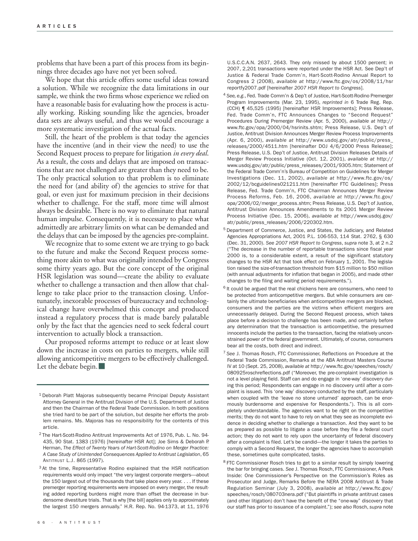problems that have been a part of this process from its beginnings three decades ago have not yet been solved.

We hope that this article offers some useful ideas toward a solution. While we recognize the data limitations in our sample, we think the two firms whose experience we relied on have a reasonable basis for evaluating how the process is actually working. Risking sounding like the agencies, broader data sets are always useful, and thus we would encourage a more systematic investigation of the actual facts.

Still, the heart of the problem is that today the agencies have the incentive (and in their view the need) to use the Second Request process to prepare for litigation *in every deal*. As a result, the costs and delays that are imposed on transactions that are not challenged are greater than they need to be. The only practical solution to that problem is to eliminate the need for (and ability of) the agencies to strive for that goal, or even just for maximum precision in their decisions whether to challenge. For the staff, more time will almost always be desirable. There is no way to eliminate that natural human impulse. Consequently, it is necessary to place what admittedly are arbitrary limits on what can be demanded and the delays that can be imposed by the agencies pre-complaint.

We recognize that to some extent we are trying to go back to the future and make the Second Request process something more akin to what was originally intended by Congress some thirty years ago. But the core concept of the original HSR legislation was sound—create the ability to evaluate whether to challenge a transaction and then allow that challenge to take place prior to the transaction closing. Unfortunately, inexorable processes of bureaucracy and technological change have overwhelmed this concept and produced instead a regulatory process that is made barely palatable only by the fact that the agencies need to seek federal court intervention to actually block a transaction.

Our proposed reforms attempt to reduce or at least slow down the increase in costs on parties to mergers, while still allowing anticompetitive mergers to be effectively challenged. Let the debate begin.<sup>1</sup>

U.S.C.C.A.N. 2637, 2643. They only missed by about 1500 percent; in 2007, 2,201 transactions were reported under the HSR Act. See Dep't of Justice & Federal Trade Comm'n, Hart-Scott-Rodino Annual Report to Congress 2 (2008), *available at* http://www.ftc.gov/os/2008/11/hsr reportfy2007.pdf [hereinafter *2007 HSR Report to Congress*].

- <sup>4</sup> *See, e.g.*, Fed. Trade Comm'n & Dep't of Justice, Hart-Scott-Rodino Premerger Program Improvements (Mar. 23, 1995), *reprinted in* 6 Trade Reg. Rep. (CCH) ¶ 45,525 (1995) [hereinafter HSR Improvements]; Press Release, Fed. Trade Comm'n, FTC Announces Changes to "Second Request" Procedures During Premerger Review (Apr. 5, 2000), *available at* http:// www.ftc.gov/opa/2000/04/hsrinits.shtm; Press Release, U.S. Dep't of Justice, Antitrust Division Announces Merger Review Process Improvements (Apr. 6, 2000), *available at* http://www.usdoj.gov/atr/public/press\_ releases/2000/4511.htm [hereinafter DOJ 4/6/2000 Press Release]; Press Release, U.S. Dep't of Justice, Antitrust Division Releases Details of Merger Review Process Initiative (Oct. 12, 2001), *available at* http:// www.usdoj.gov/atr/public/press\_releases/2001/9305.htm; Statement of the Federal Trade Comm'n's Bureau of Competition on Guidelines for Merger Investigations (Dec. 11, 2002), *available at* http://www.ftc.gov/os/ 2002/12/bcguidelines021211.htm [hereinafter FTC Guidelines]; Press Release, Fed. Trade Comm'n, FTC Chairman Announces Merger Review Process Reforms, Feb. 16, 2006, *available at* http://www.ftc.gov/ opa/2006/02/merger\_process.shtm; Press Release, U.S. Dep't of Justice, Antitrust Division Announces Amendments to Its 2001 Merger Review Process Initiative (Dec. 15, 2006), *available at* http://www.usdoj.gov/ atr/public/press\_releases/2006/220302.htm.
- <sup>5</sup> Department of Commerce, Justice, and States, the Judiciary, and Related Agencies Appropriations Act, 2001 P.L. 106-553, 114 Stat. 2762, § 630 (Dec. 31, 2000). *See 2007 HSR Report to Congress*, *supra* note 3, at 2 n.2 ("The decrease in the number of reportable transactions since fiscal year 2000 is, to a considerable extent, a result of the significant statutory changes to the HSR Act that took effect on February 1, 2001. The legislation raised the size-of-transaction threshold from \$15 million to \$50 million (with annual adjustments for inflation that began in 2005), and made other changes to the filing and waiting period requirements.").
- $6$  It could be argued that the real chickens here are consumers, who need to be protected from anticompetitive mergers. But while consumers are certainly the ultimate beneficiaries when anticompetitive mergers are blocked, consumers and the parties are the victims when efficient mergers are unnecessarily delayed. During the Second Request process, which takes place before a decision to challenge has been made, and certainly before any determination that the transaction is anticompetitive, the presumed innocents include the parties to the transaction, facing the relatively unconstrained power of the federal government. Ultimately, of course, consumers bear all the costs, both direct and indirect.
- <sup>7</sup> *See* J. Thomas Rosch, FTC Commissioner, Reflections on Procedure at the Federal Trade Commission, Remarks at the ABA Antitrust Masters Course IV at 10 (Sept. 25, 2008), *available at* http://www.ftc.gov/speeches/rosch/ 080925roschreflections.pdf ("Moreover, the pre-complaint investigation is not a level playing field. Staff can and do engage in 'one-way' discovery during this period; Respondents can engage in no discovery until after a complaint is issued. This 'one way' discovery conducted by the staff, particularly when coupled with the 'leave no stone unturned' approach, can be enormously burdensome and expensive for Respondents."). This is all completely understandable. The agencies want to be right on the competitive merits; they do not want to have to rely on what they see as incomplete evidence in deciding whether to challenge a transaction. And they want to be as prepared as possible to litigate a case before they file a federal court action; they do not want to rely upon the uncertainty of federal discovery after a complaint is filed. Let's be candid—the longer it takes the parties to comply with a Second Request, the longer the agencies have to accomplish these, sometimes quite complicated, tasks.
- <sup>8</sup> FTC Commissioner Rosch tries to get to a similar result by simply lowering the bar for bringing cases. *See* J. Thomas Rosch, FTC Commissioner, A Peek Inside: One Commissioner's Perspective on the Commission's Roles as Prosecutor and Judge, Remarks Before the NERA 2008 Antitrust & Trade Regulation Seminar (July 3, 2008), *available at* http://www.ftc.gov/ speeches/rosch/080703nera.pdf ("But plaintiffs in private antitrust cases (and other litigation) don't have the benefit of the "one-way" discovery that our staff has prior to issuance of a complaint."); *see also* Rosch, *supra* note

<sup>1</sup> Deborah Platt Majoras subsequently became Principal Deputy Assistant Attorney General in the Antitrust Division of the U.S. Department of Justice and then the Chairman of the Federal Trade Commission. In both positions she tried hard to be part of the solution, but despite her efforts the problem remains. Ms. Majoras has no responsibility for the contents of this article.

<sup>2</sup> The Hart-Scott-Rodino Antitrust Improvements Act of 1976, Pub. L. No. 94- 435, 90 Stat. 1383 (1976) [hereinafter HSR Act]; Joe Sims & Deborah P. Herman, *The Effect of Twenty Years of Hart-Scott-Rodino on Merger Practice: A Case Study of Unintended Consequences Applied to Antitrust Legislation*, 65 ANTITRUST L.J. 865 (1997).

<sup>&</sup>lt;sup>3</sup> At the time, Representative Rodino explained that the HSR notification requirements would only impact "the very largest corporate mergers—about the 150 largest out of the thousands that take place every year. . . . If these premerger reporting requirements were imposed on every merger, the resulting added reporting burdens might more than offset the decrease in burdensome divestiture trials. That is why [the bill] applies only to approximately the largest 150 mergers annually." H.R. Rep. No. 94-1373, at 11, 1976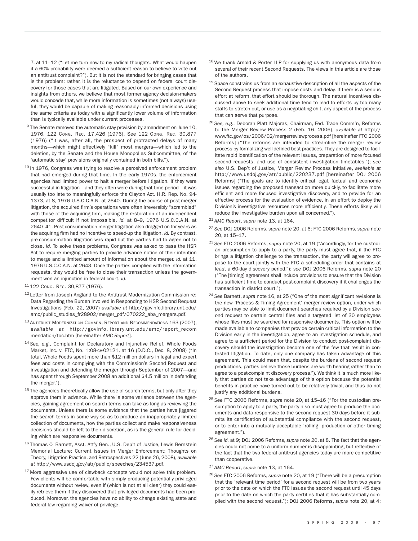7, at 11–12 ("Let me turn now to my radical thoughts. What would happen if a 60% probability were deemed a sufficient reason to believe to vote out an antitrust complaint?"). But it is not the standard for bringing cases that is the problem; rather, it is the reluctance to depend on federal court discovery for those cases that are litigated. Based on our own experience and insights from others, we believe that most former agency decision-makers would concede that, while more information is sometimes (not always) useful, they would be capable of making reasonably informed decisions using the same criteria as today with a significantly lower volume of information than is typically available under current processes.

- <sup>9</sup> The Senate removed the automatic stay provision by amendment on June 10, 1976. 122 CONG. REC. 17,426 (1976). See 122 CONG. REC. 30,877 (1976) ("It was, after all, the prospect of protracted delays of many months—which might effectively "kill" most mergers—which led to the deletion, by the Senate and the House Monopolies Subcommittee, of the 'automatic stay' provisions originally contained in both bills.").
- <sup>10</sup> In 1976, Congress was trying to resolve a perceived enforcement problem that had emerged during that time. In the early 1970s, the enforcement agencies had limited power to halt a merger before litigation. If they were successful in litigation—and they often were during that time period—it was usually too late to meaningfully enforce the Clayton Act. H.R. Rep. No. 94- 1373, at 8, 1976 U.S.C.C.A.N. at 2640. During the course of post-merger litigation, the acquired firm's operations were often irreversibly "scrambled" with those of the acquiring firm, making the restoration of an independent competitor difficult if not impossible. *Id.* at 8–9, 1976 U.S.C.C.A.N. at 2640–41. Post-consummation merger litigation also dragged on for years as the acquiring firm had no incentive to speed-up the litigation. *Id.* By contrast, pre-consummation litigation was rapid but the parties had to agree not to close. *Id.* To solve these problems, Congress was asked to pass the HSR Act to require merging parties to provide advance notice of their intention to merge and a limited amount of information about the merger. *Id.* at 11, 1976 U.S.C.C.A.N. at 2643. Once the parties complied with the information requests, they would be free to close their transaction unless the government won an injunction in federal court. *Id.*
- <sup>11</sup> 122 CONG. REC. 30,877 (1976).
- <sup>12</sup> Letter from Joseph Angland to the Antitrust Modernization Commission re: Data Regarding the Burden Involved in Responding to HSR Second Request Investigations (Feb. 22, 2007) *available at* http://govinfo.library.unt.edu/ amc/public\_studies\_fr28902/merger\_pdf/070222\_aba\_mergers.pdf.
- <sup>13</sup> ANTITRUST MODERNIZATION COMM'N, REPORT AND RECOMMENDATIONS 163 (2007), *available at* http://govinfo.librar y.unt.edu/amc/report\_recom mendation/toc.htm [hereinafter *AMC Report*].
- <sup>14</sup> *See, e.g.*, Complaint for Declaratory and Injunctive Relief, Whole Foods Market, Inc. v. FTC, No. 1:08-cv-02121, at 16 (D.D.C., Dec. 8, 2008) ("In total, Whole Foods spent more than \$12 million dollars in legal and expert fees and costs in complying with the Commission's Second Request and investigation and defending the merger through September of 2007—and has spent through September 2008 an additional \$4.5 million in defending the merger.").
- $15$  The agencies theoretically allow the use of search terms, but only after they approve them in advance. While there is some variance between the agencies, gaining agreement on search terms can take as long as reviewing the documents. Unless there is some evidence that the parties have jiggered the search terms in some way so as to produce an inappropriately limited collection of documents, how the parties collect and make responsiveness decisions should be left to their discretion, as is the general rule for deciding which are responsive documents.
- 16 Thomas O. Barnett, Asst. Att'y Gen., U.S. Dep't of Justice, Lewis Bernstein Memorial Lecture: Current Issues in Merger Enforcement: Thoughts on Theory, Litigation Practice, and Retrospectives 22 (June 26, 2008), *available at* http://www.usdoj.gov/atr/public/speeches/234537.pdf.
- <sup>17</sup> More aggressive use of clawback concepts would not solve this problem. Few clients will be comfortable with simply producing potentially privileged documents without review, even if (which is not at all clear) they could easily retrieve them if they discovered that privileged documents had been produced. Moreover, the agencies have no ability to change existing state and federal law regarding waiver of privilege.
- <sup>18</sup> We thank Arnold & Porter LLP for supplying us with anonymous data from several of their recent Second Requests. The views in this article are those of the authors.
- $19$  Space constrains us from an exhaustive description of all the aspects of the Second Request process that impose costs and delay. If there is a serious effort at reform, that effort should be thorough. The natural incentives discussed above to seek additional time tend to lead to efforts by too many staffs to stretch out, or use as a negotiating chit, any aspect of the process that can serve that purpose.
- <sup>20</sup> *See, e.g.*, Deborah Platt Majoras, Chairman, Fed. Trade Comm'n, Reforms to the Merger Review Process 2 (Feb. 16, 2006), *available at* http:// www.ftc.gov/os/2006/02/mergerreviewprocess.pdf [hereinafter FTC 2006 Reforms] ("The reforms are intended to streamline the merger review process by formalizing well-defined best practices. They are designed to facilitate rapid identification of the relevant issues, preparation of more focused second requests, and use of consistent investigation timetables."); *see also* U.S. Dep't of Justice, Merger Review Process Initiative, *available at* http://www.usdoj.gov/atr/public/220237.pdf [hereinafter DOJ 2006 Reforms] ("The goals are to identify critical legal, factual and economic issues regarding the proposed transaction more quickly, to facilitate more efficient and more focused investigative discovery, and to provide for an effective process for the evaluation of evidence, in an effort to deploy the Division's investigative resources more efficiently. These efforts likely will reduce the investigative burden upon all concerned.").
- <sup>21</sup> *AMC Report*, *supra* note 13, at 164.
- <sup>22</sup> *See* DOJ 2006 Reforms, *supra* note 20, at 6; FTC 2006 Reforms, *supra* note 20, at 15–17.
- <sup>23</sup> *See* FTC 2006 Reforms, *supra* note 20, at 19 ("Accordingly, for the custodian presumption to apply to a party, the party must agree that, if the FTC brings a litigation challenge to the transaction, the party will agree to propose to the court jointly with the FTC a scheduling order that contains at least a 60-day discovery period."); *see* DOJ 2006 Reforms, *supra* note 20 ("The [timing] agreement shall include provisions to ensure that the Division has sufficient time to conduct post-complaint discovery if it challenges the transaction in district court.").
- <sup>24</sup> *See* Barnett, *supra* note 16, at 25 ("One of the most significant revisions is the new 'Process & Timing Agreement' merger review option, under which parties may be able to limit document searches required by a Division second request to certain central files and a targeted list of 30 employees whose files must be searched for responsive documents. This option will be made available to companies that provide certain critical information to the Division early in the investigation, agree to an investigation schedule, and agree to a sufficient period for the Division to conduct post-complaint discovery should the investigation become one of the few that result in contested litigation. To date, only one company has taken advantage of this agreement. This could mean that, despite the burdens of second request productions, parties believe those burdens are worth bearing rather than to agree to a post-complaint discovery process."). We think it is much more likely that parties do not take advantage of this option because the potential benefits in practice have turned out to be relatively trivial, and thus do not justify any additional burdens.
- <sup>25</sup> *See* FTC 2006 Reforms, *supra* note 20, at 15–16 ("For the custodian presumption to apply to a party, the party also must agree to produce the documents and data responsive to the second request 30 days before it submits its certification of substantial compliance with the second request, or to enter into a mutually acceptable 'rolling' production or other timing agreement.").
- <sup>26</sup> *See id.* at 9; DOJ 2006 Reforms, *supra* note 20, at 8. The fact that the agencies could not come to a uniform number is disappointing, but reflective of the fact that the two federal antitrust agencies today are more competitive than cooperative.
- <sup>27</sup> *AMC Report*, *supra* note 13, at 164.
- <sup>28</sup> *See* FTC 2006 Reforms, *supra* note 20, at 19 ("There will be a presumption that the 'relevant time period' for a second request will be from two years prior to the date on which the FTC issues the second request until 45 days prior to the date on which the party certifies that it has substantially complied with the second request."); DOJ 2006 Reforms, *supra* note 20, at 4;